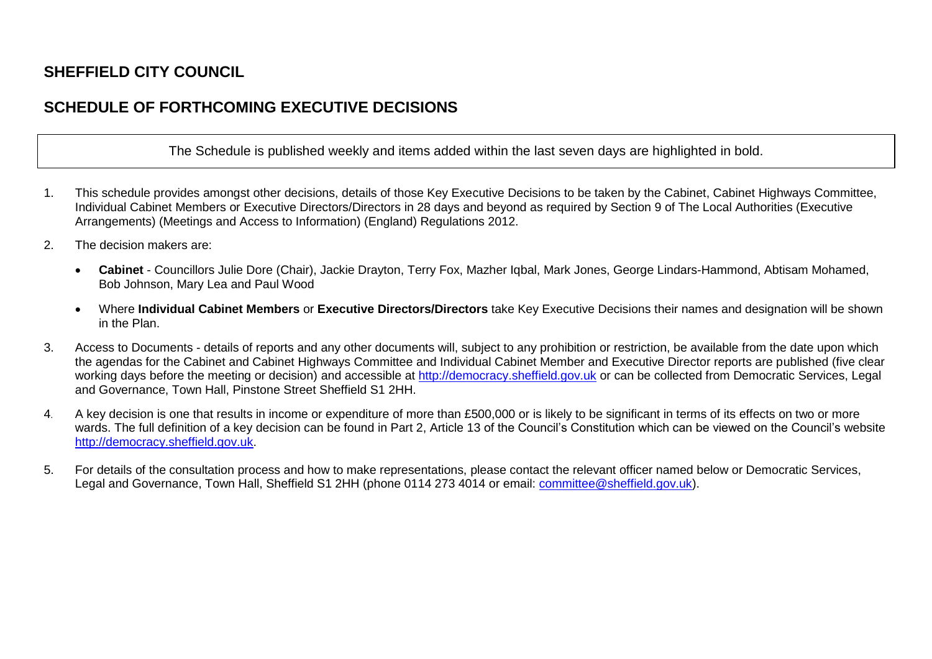## **SHEFFIELD CITY COUNCIL**

## **SCHEDULE OF FORTHCOMING EXECUTIVE DECISIONS**

The Schedule is published weekly and items added within the last seven days are highlighted in bold.

- 1. This schedule provides amongst other decisions, details of those Key Executive Decisions to be taken by the Cabinet, Cabinet Highways Committee, Individual Cabinet Members or Executive Directors/Directors in 28 days and beyond as required by Section 9 of The Local Authorities (Executive Arrangements) (Meetings and Access to Information) (England) Regulations 2012.
- 2. The decision makers are:
	- **Cabinet**  Councillors Julie Dore (Chair), Jackie Drayton, Terry Fox, Mazher Iqbal, Mark Jones, George Lindars-Hammond, Abtisam Mohamed, Bob Johnson, Mary Lea and Paul Wood
	- Where **Individual Cabinet Members** or **Executive Directors/Directors** take Key Executive Decisions their names and designation will be shown in the Plan.
- 3. Access to Documents details of reports and any other documents will, subject to any prohibition or restriction, be available from the date upon which the agendas for the Cabinet and Cabinet Highways Committee and Individual Cabinet Member and Executive Director reports are published (five clear working days before the meeting or decision) and accessible at [http://democracy.sheffield.gov.uk](http://democracy.sheffield.gov.uk/) or can be collected from Democratic Services, Legal and Governance, Town Hall, Pinstone Street Sheffield S1 2HH.
- 4. A key decision is one that results in income or expenditure of more than £500,000 or is likely to be significant in terms of its effects on two or more wards. The full definition of a key decision can be found in Part 2, Article 13 of the Council's Constitution which can be viewed on the Council's website [http://democracy.sheffield.gov.uk.](http://democracy.sheffield.gov.uk/)
- 5. For details of the consultation process and how to make representations, please contact the relevant officer named below or Democratic Services, Legal and Governance, Town Hall, Sheffield S1 2HH (phone 0114 273 4014 or email: [committee@sheffield.gov.uk\)](mailto:committee@sheffield.gov.uk).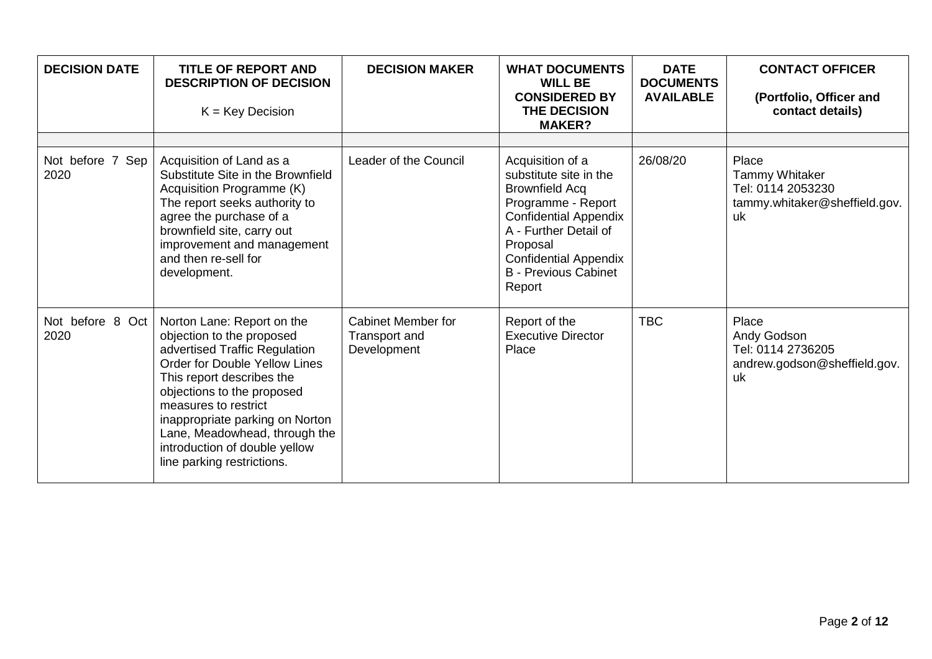| <b>DECISION DATE</b>     | <b>TITLE OF REPORT AND</b><br><b>DESCRIPTION OF DECISION</b><br>$K = Key Decision$                                                                                                                                                                                                                                                                     | <b>DECISION MAKER</b>                                     | <b>WHAT DOCUMENTS</b><br><b>WILL BE</b><br><b>CONSIDERED BY</b><br><b>THE DECISION</b><br><b>MAKER?</b>                                                                                                                                 | <b>DATE</b><br><b>DOCUMENTS</b><br><b>AVAILABLE</b> | <b>CONTACT OFFICER</b><br>(Portfolio, Officer and<br>contact details)                      |
|--------------------------|--------------------------------------------------------------------------------------------------------------------------------------------------------------------------------------------------------------------------------------------------------------------------------------------------------------------------------------------------------|-----------------------------------------------------------|-----------------------------------------------------------------------------------------------------------------------------------------------------------------------------------------------------------------------------------------|-----------------------------------------------------|--------------------------------------------------------------------------------------------|
|                          |                                                                                                                                                                                                                                                                                                                                                        |                                                           |                                                                                                                                                                                                                                         |                                                     |                                                                                            |
| Not before 7 Sep<br>2020 | Acquisition of Land as a<br>Substitute Site in the Brownfield<br>Acquisition Programme (K)<br>The report seeks authority to<br>agree the purchase of a<br>brownfield site, carry out<br>improvement and management<br>and then re-sell for<br>development.                                                                                             | Leader of the Council                                     | Acquisition of a<br>substitute site in the<br><b>Brownfield Acq</b><br>Programme - Report<br><b>Confidential Appendix</b><br>A - Further Detail of<br>Proposal<br><b>Confidential Appendix</b><br><b>B</b> - Previous Cabinet<br>Report | 26/08/20                                            | Place<br><b>Tammy Whitaker</b><br>Tel: 0114 2053230<br>tammy.whitaker@sheffield.gov.<br>uk |
| Not before 8 Oct<br>2020 | Norton Lane: Report on the<br>objection to the proposed<br>advertised Traffic Regulation<br><b>Order for Double Yellow Lines</b><br>This report describes the<br>objections to the proposed<br>measures to restrict<br>inappropriate parking on Norton<br>Lane, Meadowhead, through the<br>introduction of double yellow<br>line parking restrictions. | <b>Cabinet Member for</b><br>Transport and<br>Development | Report of the<br><b>Executive Director</b><br>Place                                                                                                                                                                                     | <b>TBC</b>                                          | Place<br>Andy Godson<br>Tel: 0114 2736205<br>andrew.godson@sheffield.gov.<br>uk            |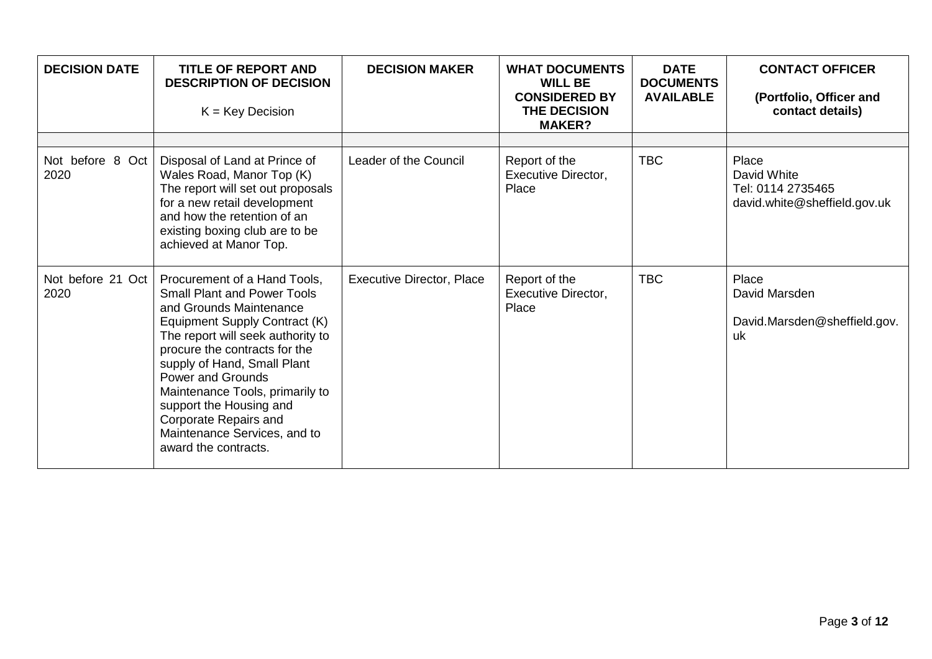| <b>DECISION DATE</b>      | <b>TITLE OF REPORT AND</b><br><b>DESCRIPTION OF DECISION</b><br>$K = Key Decision$                                                                                                                                                                                                                                                                                                                             | <b>DECISION MAKER</b>            | <b>WHAT DOCUMENTS</b><br><b>WILL BE</b><br><b>CONSIDERED BY</b><br>THE DECISION<br><b>MAKER?</b> | <b>DATE</b><br><b>DOCUMENTS</b><br><b>AVAILABLE</b> | <b>CONTACT OFFICER</b><br>(Portfolio, Officer and<br>contact details)     |
|---------------------------|----------------------------------------------------------------------------------------------------------------------------------------------------------------------------------------------------------------------------------------------------------------------------------------------------------------------------------------------------------------------------------------------------------------|----------------------------------|--------------------------------------------------------------------------------------------------|-----------------------------------------------------|---------------------------------------------------------------------------|
| Not before 8 Oct<br>2020  | Disposal of Land at Prince of<br>Wales Road, Manor Top (K)<br>The report will set out proposals<br>for a new retail development<br>and how the retention of an<br>existing boxing club are to be<br>achieved at Manor Top.                                                                                                                                                                                     | Leader of the Council            | Report of the<br><b>Executive Director,</b><br>Place                                             | <b>TBC</b>                                          | Place<br>David White<br>Tel: 0114 2735465<br>david.white@sheffield.gov.uk |
| Not before 21 Oct<br>2020 | Procurement of a Hand Tools,<br><b>Small Plant and Power Tools</b><br>and Grounds Maintenance<br>Equipment Supply Contract (K)<br>The report will seek authority to<br>procure the contracts for the<br>supply of Hand, Small Plant<br><b>Power and Grounds</b><br>Maintenance Tools, primarily to<br>support the Housing and<br>Corporate Repairs and<br>Maintenance Services, and to<br>award the contracts. | <b>Executive Director, Place</b> | Report of the<br>Executive Director,<br>Place                                                    | <b>TBC</b>                                          | Place<br>David Marsden<br>David.Marsden@sheffield.gov.<br>uk              |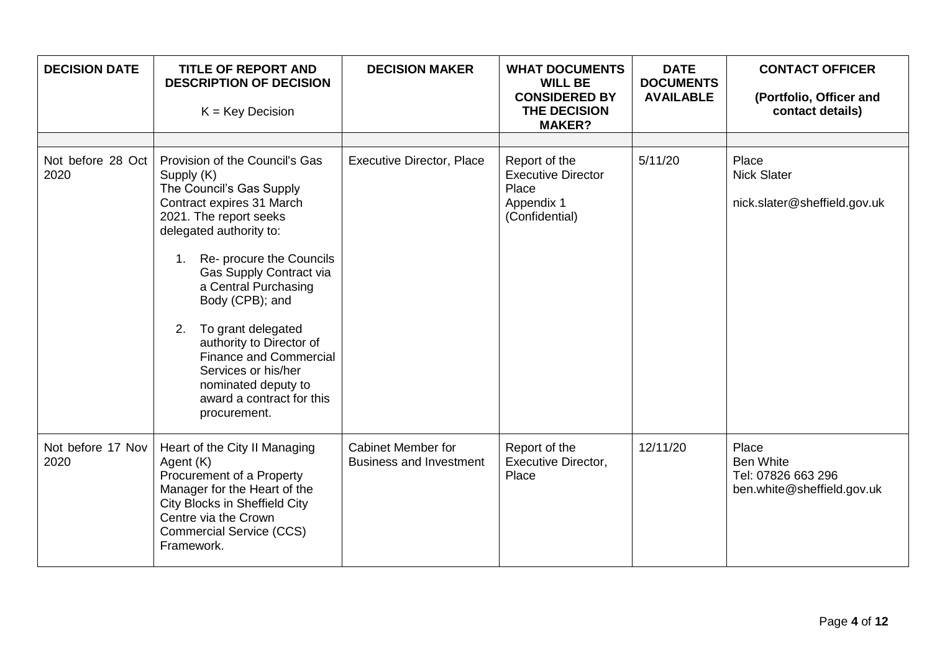| <b>DECISION DATE</b>      | <b>TITLE OF REPORT AND</b><br><b>DESCRIPTION OF DECISION</b><br>$K = Key Decision$                                                                                                                                                                                                                                                                                                                                                                     | <b>DECISION MAKER</b>                                       | <b>WHAT DOCUMENTS</b><br><b>WILL BE</b><br><b>CONSIDERED BY</b><br>THE DECISION<br><b>MAKER?</b> | <b>DATE</b><br><b>DOCUMENTS</b><br><b>AVAILABLE</b> | <b>CONTACT OFFICER</b><br>(Portfolio, Officer and<br>contact details)         |
|---------------------------|--------------------------------------------------------------------------------------------------------------------------------------------------------------------------------------------------------------------------------------------------------------------------------------------------------------------------------------------------------------------------------------------------------------------------------------------------------|-------------------------------------------------------------|--------------------------------------------------------------------------------------------------|-----------------------------------------------------|-------------------------------------------------------------------------------|
| Not before 28 Oct<br>2020 | Provision of the Council's Gas<br>Supply (K)<br>The Council's Gas Supply<br>Contract expires 31 March<br>2021. The report seeks<br>delegated authority to:<br>Re- procure the Councils<br>1.<br>Gas Supply Contract via<br>a Central Purchasing<br>Body (CPB); and<br>To grant delegated<br>2.<br>authority to Director of<br><b>Finance and Commercial</b><br>Services or his/her<br>nominated deputy to<br>award a contract for this<br>procurement. | <b>Executive Director, Place</b>                            | Report of the<br><b>Executive Director</b><br>Place<br>Appendix 1<br>(Confidential)              | 5/11/20                                             | Place<br><b>Nick Slater</b><br>nick.slater@sheffield.gov.uk                   |
| Not before 17 Nov<br>2020 | Heart of the City II Managing<br>Agent (K)<br>Procurement of a Property<br>Manager for the Heart of the<br>City Blocks in Sheffield City<br>Centre via the Crown<br><b>Commercial Service (CCS)</b><br>Framework.                                                                                                                                                                                                                                      | <b>Cabinet Member for</b><br><b>Business and Investment</b> | Report of the<br><b>Executive Director,</b><br>Place                                             | 12/11/20                                            | Place<br><b>Ben White</b><br>Tel: 07826 663 296<br>ben.white@sheffield.gov.uk |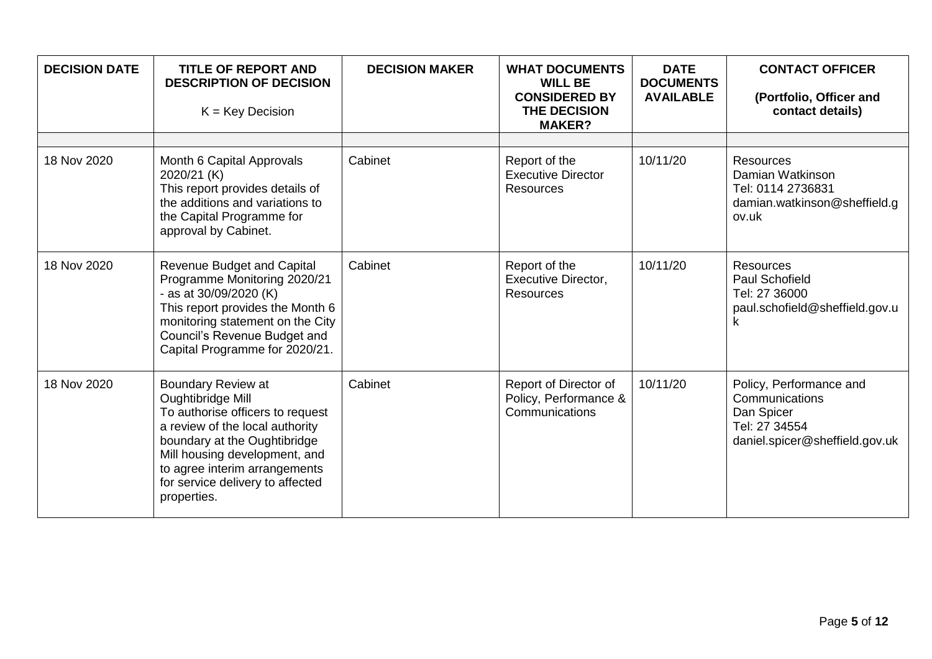| <b>DECISION DATE</b> | <b>TITLE OF REPORT AND</b><br><b>DESCRIPTION OF DECISION</b><br>$K = Key Decision$                                                                                                                                                                                         | <b>DECISION MAKER</b> | <b>WHAT DOCUMENTS</b><br><b>WILL BE</b><br><b>CONSIDERED BY</b><br>THE DECISION<br><b>MAKER?</b> | <b>DATE</b><br><b>DOCUMENTS</b><br><b>AVAILABLE</b> | <b>CONTACT OFFICER</b><br>(Portfolio, Officer and<br>contact details)                                      |
|----------------------|----------------------------------------------------------------------------------------------------------------------------------------------------------------------------------------------------------------------------------------------------------------------------|-----------------------|--------------------------------------------------------------------------------------------------|-----------------------------------------------------|------------------------------------------------------------------------------------------------------------|
| 18 Nov 2020          | Month 6 Capital Approvals<br>2020/21 (K)<br>This report provides details of<br>the additions and variations to<br>the Capital Programme for<br>approval by Cabinet.                                                                                                        | Cabinet               | Report of the<br><b>Executive Director</b><br><b>Resources</b>                                   | 10/11/20                                            | <b>Resources</b><br>Damian Watkinson<br>Tel: 0114 2736831<br>damian.watkinson@sheffield.g<br>ov.uk         |
| 18 Nov 2020          | <b>Revenue Budget and Capital</b><br>Programme Monitoring 2020/21<br>- as at 30/09/2020 (K)<br>This report provides the Month 6<br>monitoring statement on the City<br>Council's Revenue Budget and<br>Capital Programme for 2020/21.                                      | Cabinet               | Report of the<br><b>Executive Director,</b><br><b>Resources</b>                                  | 10/11/20                                            | <b>Resources</b><br>Paul Schofield<br>Tel: 27 36000<br>paul.schofield@sheffield.gov.u<br>κ                 |
| 18 Nov 2020          | <b>Boundary Review at</b><br>Oughtibridge Mill<br>To authorise officers to request<br>a review of the local authority<br>boundary at the Oughtibridge<br>Mill housing development, and<br>to agree interim arrangements<br>for service delivery to affected<br>properties. | Cabinet               | Report of Director of<br>Policy, Performance &<br>Communications                                 | 10/11/20                                            | Policy, Performance and<br>Communications<br>Dan Spicer<br>Tel: 27 34554<br>daniel.spicer@sheffield.gov.uk |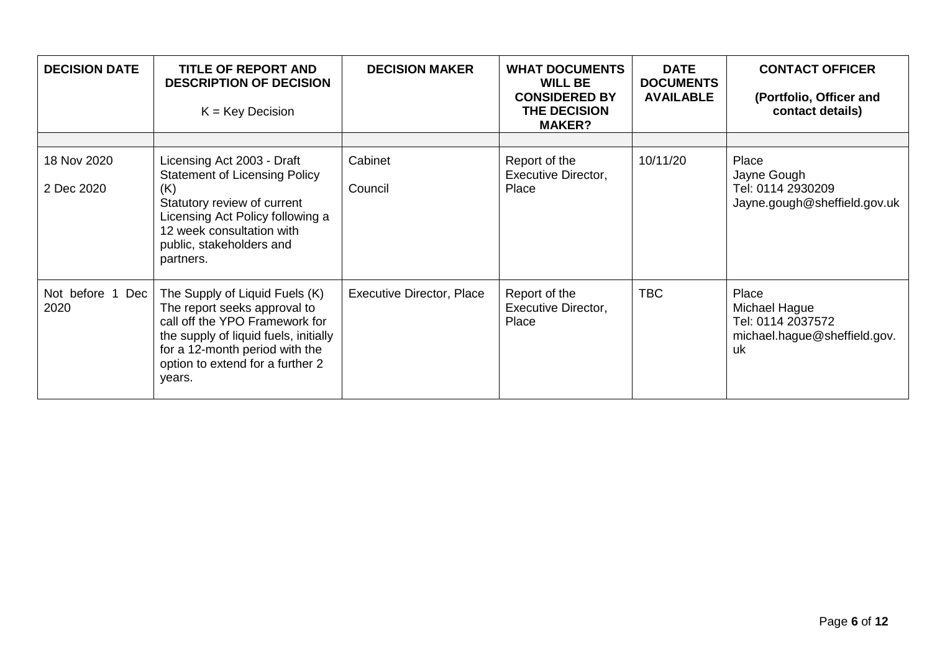| <b>DECISION DATE</b>        | <b>TITLE OF REPORT AND</b><br><b>DESCRIPTION OF DECISION</b><br>$K = Key Decision$                                                                                                                                        | <b>DECISION MAKER</b>            | <b>WHAT DOCUMENTS</b><br><b>WILL BE</b><br><b>CONSIDERED BY</b><br>THE DECISION<br><b>MAKER?</b> | <b>DATE</b><br><b>DOCUMENTS</b><br><b>AVAILABLE</b> | <b>CONTACT OFFICER</b><br>(Portfolio, Officer and<br>contact details)             |
|-----------------------------|---------------------------------------------------------------------------------------------------------------------------------------------------------------------------------------------------------------------------|----------------------------------|--------------------------------------------------------------------------------------------------|-----------------------------------------------------|-----------------------------------------------------------------------------------|
|                             |                                                                                                                                                                                                                           |                                  |                                                                                                  |                                                     |                                                                                   |
| 18 Nov 2020<br>2 Dec 2020   | Licensing Act 2003 - Draft<br><b>Statement of Licensing Policy</b><br>(K)<br>Statutory review of current<br>Licensing Act Policy following a<br>12 week consultation with<br>public, stakeholders and<br>partners.        | Cabinet<br>Council               | Report of the<br>Executive Director,<br>Place                                                    | 10/11/20                                            | Place<br>Jayne Gough<br>Tel: 0114 2930209<br>Jayne.gough@sheffield.gov.uk         |
| Not before 1<br>Dec<br>2020 | The Supply of Liquid Fuels (K)<br>The report seeks approval to<br>call off the YPO Framework for<br>the supply of liquid fuels, initially<br>for a 12-month period with the<br>option to extend for a further 2<br>years. | <b>Executive Director, Place</b> | Report of the<br>Executive Director,<br>Place                                                    | <b>TBC</b>                                          | Place<br>Michael Hague<br>Tel: 0114 2037572<br>michael.hague@sheffield.gov.<br>uk |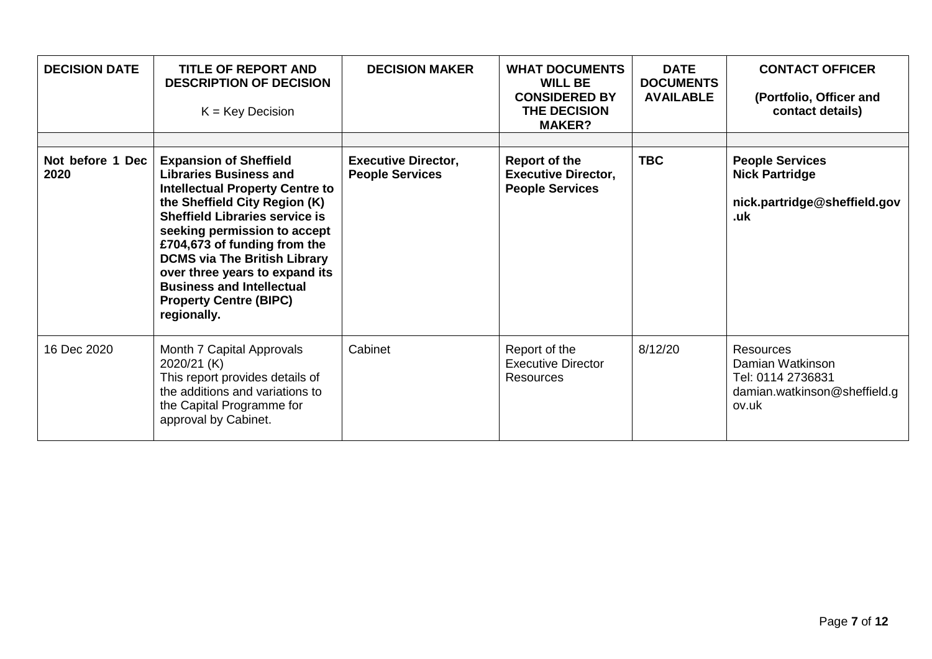| <b>DECISION DATE</b>     | TITLE OF REPORT AND<br><b>DESCRIPTION OF DECISION</b><br>$K = Key Decision$                                                                                                                                                                                                                                                                                                                                     | <b>DECISION MAKER</b>                                | <b>WHAT DOCUMENTS</b><br><b>WILL BE</b><br><b>CONSIDERED BY</b><br><b>THE DECISION</b><br><b>MAKER?</b> | <b>DATE</b><br><b>DOCUMENTS</b><br><b>AVAILABLE</b> | <b>CONTACT OFFICER</b><br>(Portfolio, Officer and<br>contact details)                       |
|--------------------------|-----------------------------------------------------------------------------------------------------------------------------------------------------------------------------------------------------------------------------------------------------------------------------------------------------------------------------------------------------------------------------------------------------------------|------------------------------------------------------|---------------------------------------------------------------------------------------------------------|-----------------------------------------------------|---------------------------------------------------------------------------------------------|
| Not before 1 Dec<br>2020 | <b>Expansion of Sheffield</b><br><b>Libraries Business and</b><br><b>Intellectual Property Centre to</b><br>the Sheffield City Region (K)<br><b>Sheffield Libraries service is</b><br>seeking permission to accept<br>£704,673 of funding from the<br><b>DCMS via The British Library</b><br>over three years to expand its<br><b>Business and Intellectual</b><br><b>Property Centre (BIPC)</b><br>regionally. | <b>Executive Director,</b><br><b>People Services</b> | <b>Report of the</b><br><b>Executive Director,</b><br><b>People Services</b>                            | <b>TBC</b>                                          | <b>People Services</b><br><b>Nick Partridge</b><br>nick.partridge@sheffield.gov<br>.uk      |
| 16 Dec 2020              | Month 7 Capital Approvals<br>2020/21 (K)<br>This report provides details of<br>the additions and variations to<br>the Capital Programme for<br>approval by Cabinet.                                                                                                                                                                                                                                             | Cabinet                                              | Report of the<br><b>Executive Director</b><br><b>Resources</b>                                          | 8/12/20                                             | Resources<br>Damian Watkinson<br>Tel: 0114 2736831<br>damian.watkinson@sheffield.g<br>ov.uk |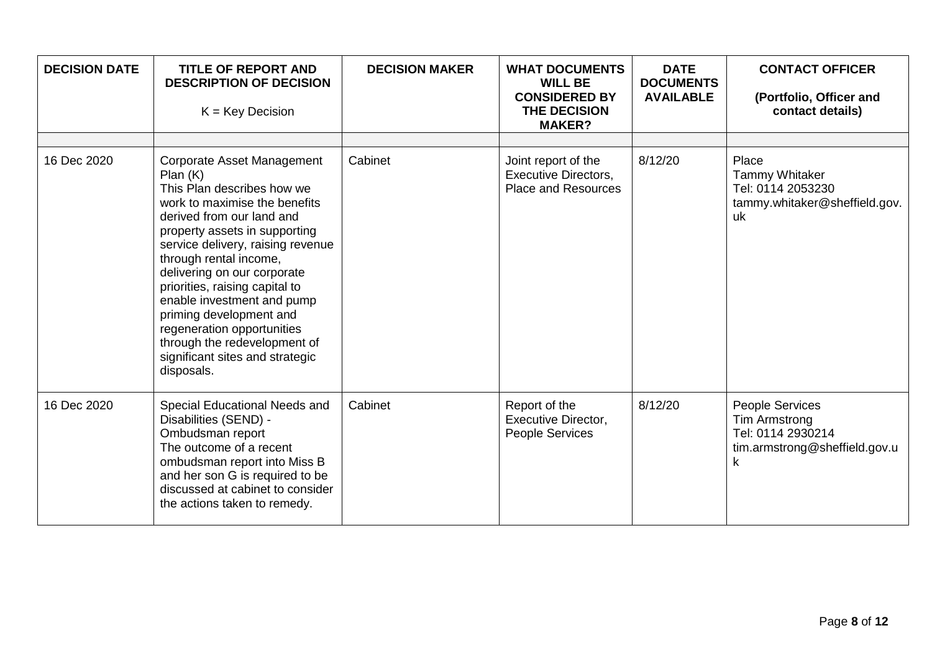| <b>DECISION DATE</b> | <b>TITLE OF REPORT AND</b><br><b>DESCRIPTION OF DECISION</b><br>$K = Key Decision$                                                                                                                                                                                                                                                                                                                                                                                         | <b>DECISION MAKER</b> | <b>WHAT DOCUMENTS</b><br><b>WILL BE</b><br><b>CONSIDERED BY</b><br>THE DECISION<br><b>MAKER?</b> | <b>DATE</b><br><b>DOCUMENTS</b><br><b>AVAILABLE</b> | <b>CONTACT OFFICER</b><br>(Portfolio, Officer and<br>contact details)                              |
|----------------------|----------------------------------------------------------------------------------------------------------------------------------------------------------------------------------------------------------------------------------------------------------------------------------------------------------------------------------------------------------------------------------------------------------------------------------------------------------------------------|-----------------------|--------------------------------------------------------------------------------------------------|-----------------------------------------------------|----------------------------------------------------------------------------------------------------|
| 16 Dec 2020          | Corporate Asset Management<br>Plan(K)<br>This Plan describes how we<br>work to maximise the benefits<br>derived from our land and<br>property assets in supporting<br>service delivery, raising revenue<br>through rental income,<br>delivering on our corporate<br>priorities, raising capital to<br>enable investment and pump<br>priming development and<br>regeneration opportunities<br>through the redevelopment of<br>significant sites and strategic<br>disposals. | Cabinet               | Joint report of the<br><b>Executive Directors,</b><br><b>Place and Resources</b>                 | 8/12/20                                             | Place<br><b>Tammy Whitaker</b><br>Tel: 0114 2053230<br>tammy.whitaker@sheffield.gov.<br>uk         |
| 16 Dec 2020          | Special Educational Needs and<br>Disabilities (SEND) -<br>Ombudsman report<br>The outcome of a recent<br>ombudsman report into Miss B<br>and her son G is required to be<br>discussed at cabinet to consider<br>the actions taken to remedy.                                                                                                                                                                                                                               | Cabinet               | Report of the<br>Executive Director,<br>People Services                                          | 8/12/20                                             | People Services<br><b>Tim Armstrong</b><br>Tel: 0114 2930214<br>tim.armstrong@sheffield.gov.u<br>k |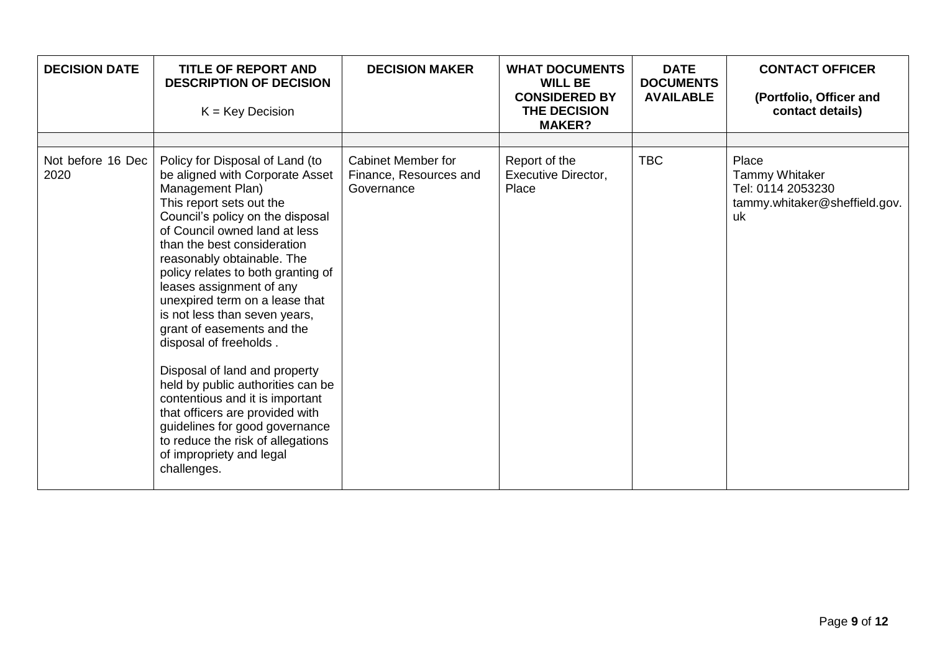| <b>DECISION DATE</b>      | <b>TITLE OF REPORT AND</b><br><b>DESCRIPTION OF DECISION</b><br>$K = Key Decision$                                                                                                                                                                                                                                                                                                                                                                                                                                                                                                                                                                                                                              | <b>DECISION MAKER</b>                                             | <b>WHAT DOCUMENTS</b><br><b>WILL BE</b><br><b>CONSIDERED BY</b><br>THE DECISION<br><b>MAKER?</b> | <b>DATE</b><br><b>DOCUMENTS</b><br><b>AVAILABLE</b> | <b>CONTACT OFFICER</b><br>(Portfolio, Officer and<br>contact details)                      |
|---------------------------|-----------------------------------------------------------------------------------------------------------------------------------------------------------------------------------------------------------------------------------------------------------------------------------------------------------------------------------------------------------------------------------------------------------------------------------------------------------------------------------------------------------------------------------------------------------------------------------------------------------------------------------------------------------------------------------------------------------------|-------------------------------------------------------------------|--------------------------------------------------------------------------------------------------|-----------------------------------------------------|--------------------------------------------------------------------------------------------|
| Not before 16 Dec<br>2020 | Policy for Disposal of Land (to<br>be aligned with Corporate Asset<br>Management Plan)<br>This report sets out the<br>Council's policy on the disposal<br>of Council owned land at less<br>than the best consideration<br>reasonably obtainable. The<br>policy relates to both granting of<br>leases assignment of any<br>unexpired term on a lease that<br>is not less than seven years,<br>grant of easements and the<br>disposal of freeholds.<br>Disposal of land and property<br>held by public authorities can be<br>contentious and it is important<br>that officers are provided with<br>guidelines for good governance<br>to reduce the risk of allegations<br>of impropriety and legal<br>challenges. | <b>Cabinet Member for</b><br>Finance, Resources and<br>Governance | Report of the<br><b>Executive Director,</b><br>Place                                             | <b>TBC</b>                                          | Place<br><b>Tammy Whitaker</b><br>Tel: 0114 2053230<br>tammy.whitaker@sheffield.gov.<br>uk |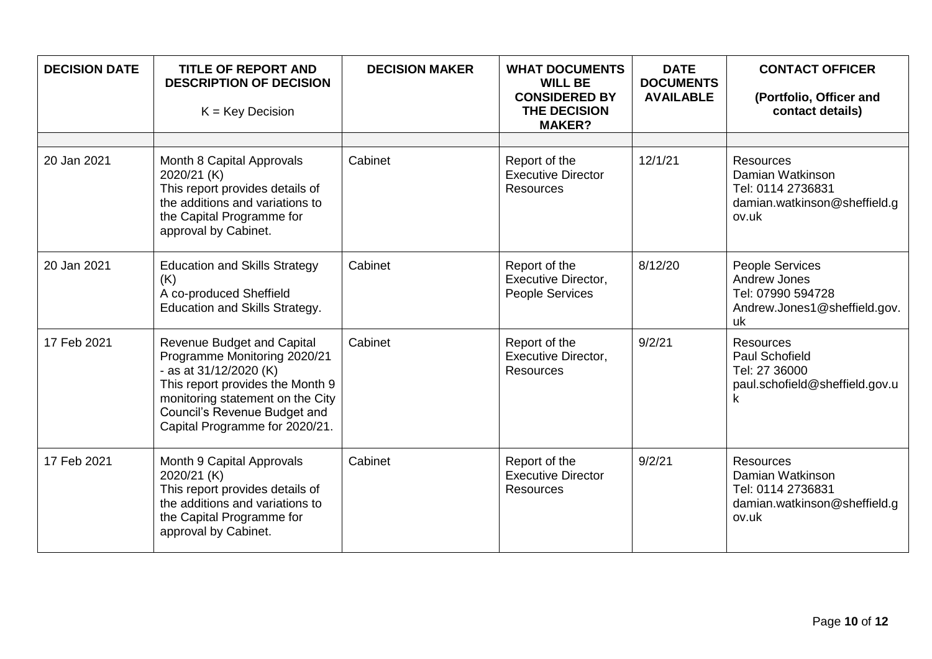| <b>DECISION DATE</b> | <b>TITLE OF REPORT AND</b><br><b>DESCRIPTION OF DECISION</b><br>$K = Key Decision$                                                                                                                                                    | <b>DECISION MAKER</b> | <b>WHAT DOCUMENTS</b><br><b>WILL BE</b><br><b>CONSIDERED BY</b><br>THE DECISION<br><b>MAKER?</b> | <b>DATE</b><br><b>DOCUMENTS</b><br><b>AVAILABLE</b> | <b>CONTACT OFFICER</b><br>(Portfolio, Officer and<br>contact details)                              |
|----------------------|---------------------------------------------------------------------------------------------------------------------------------------------------------------------------------------------------------------------------------------|-----------------------|--------------------------------------------------------------------------------------------------|-----------------------------------------------------|----------------------------------------------------------------------------------------------------|
|                      |                                                                                                                                                                                                                                       |                       |                                                                                                  |                                                     |                                                                                                    |
| 20 Jan 2021          | Month 8 Capital Approvals<br>2020/21 (K)<br>This report provides details of<br>the additions and variations to<br>the Capital Programme for<br>approval by Cabinet.                                                                   | Cabinet               | Report of the<br><b>Executive Director</b><br><b>Resources</b>                                   | 12/1/21                                             | <b>Resources</b><br>Damian Watkinson<br>Tel: 0114 2736831<br>damian.watkinson@sheffield.g<br>ov.uk |
| 20 Jan 2021          | <b>Education and Skills Strategy</b><br>(K)<br>A co-produced Sheffield<br>Education and Skills Strategy.                                                                                                                              | Cabinet               | Report of the<br><b>Executive Director,</b><br>People Services                                   | 8/12/20                                             | People Services<br>Andrew Jones<br>Tel: 07990 594728<br>Andrew.Jones1@sheffield.gov.<br>uk         |
| 17 Feb 2021          | <b>Revenue Budget and Capital</b><br>Programme Monitoring 2020/21<br>- as at 31/12/2020 (K)<br>This report provides the Month 9<br>monitoring statement on the City<br>Council's Revenue Budget and<br>Capital Programme for 2020/21. | Cabinet               | Report of the<br>Executive Director,<br><b>Resources</b>                                         | 9/2/21                                              | <b>Resources</b><br><b>Paul Schofield</b><br>Tel: 27 36000<br>paul.schofield@sheffield.gov.u<br>k. |
| 17 Feb 2021          | Month 9 Capital Approvals<br>2020/21 (K)<br>This report provides details of<br>the additions and variations to<br>the Capital Programme for<br>approval by Cabinet.                                                                   | Cabinet               | Report of the<br><b>Executive Director</b><br><b>Resources</b>                                   | 9/2/21                                              | <b>Resources</b><br>Damian Watkinson<br>Tel: 0114 2736831<br>damian.watkinson@sheffield.g<br>ov.uk |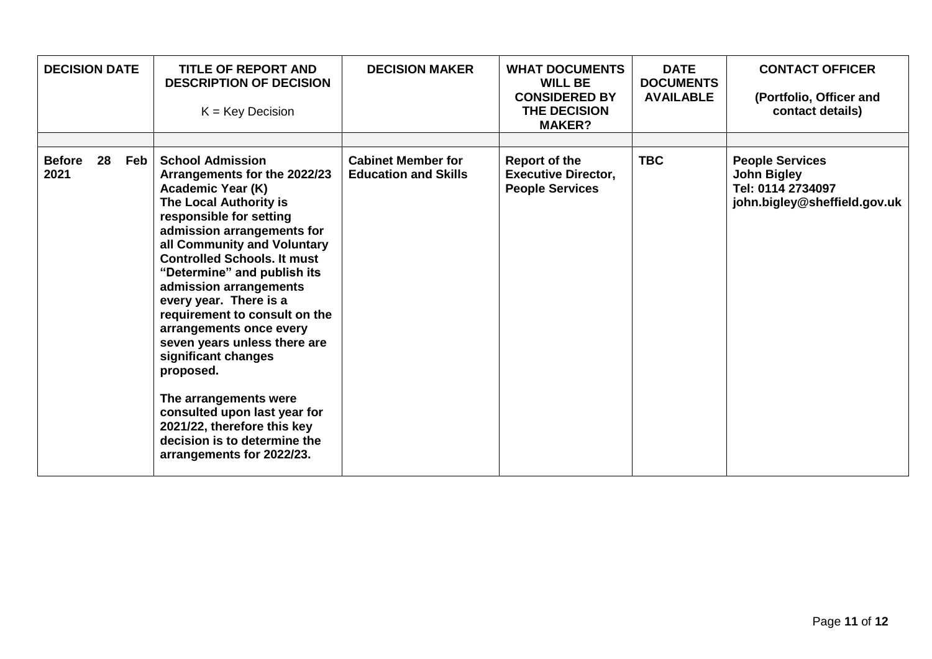| <b>DECISION DATE</b>  |    |     | <b>TITLE OF REPORT AND</b><br><b>DESCRIPTION OF DECISION</b><br>$K = Key Decision$                                                                                                                                                                                                                                                                                                                                                                                                                                                                                                                                  | <b>DECISION MAKER</b>                                    | <b>WHAT DOCUMENTS</b><br><b>WILL BE</b><br><b>CONSIDERED BY</b><br>THE DECISION<br><b>MAKER?</b> | <b>DATE</b><br><b>DOCUMENTS</b><br><b>AVAILABLE</b> | <b>CONTACT OFFICER</b><br>(Portfolio, Officer and<br>contact details)                             |
|-----------------------|----|-----|---------------------------------------------------------------------------------------------------------------------------------------------------------------------------------------------------------------------------------------------------------------------------------------------------------------------------------------------------------------------------------------------------------------------------------------------------------------------------------------------------------------------------------------------------------------------------------------------------------------------|----------------------------------------------------------|--------------------------------------------------------------------------------------------------|-----------------------------------------------------|---------------------------------------------------------------------------------------------------|
|                       |    |     |                                                                                                                                                                                                                                                                                                                                                                                                                                                                                                                                                                                                                     |                                                          |                                                                                                  |                                                     |                                                                                                   |
| <b>Before</b><br>2021 | 28 | Feb | <b>School Admission</b><br>Arrangements for the 2022/23<br><b>Academic Year (K)</b><br>The Local Authority is<br>responsible for setting<br>admission arrangements for<br>all Community and Voluntary<br><b>Controlled Schools. It must</b><br>"Determine" and publish its<br>admission arrangements<br>every year. There is a<br>requirement to consult on the<br>arrangements once every<br>seven years unless there are<br>significant changes<br>proposed.<br>The arrangements were<br>consulted upon last year for<br>2021/22, therefore this key<br>decision is to determine the<br>arrangements for 2022/23. | <b>Cabinet Member for</b><br><b>Education and Skills</b> | <b>Report of the</b><br><b>Executive Director,</b><br><b>People Services</b>                     | <b>TBC</b>                                          | <b>People Services</b><br><b>John Bigley</b><br>Tel: 0114 2734097<br>john.bigley@sheffield.gov.uk |